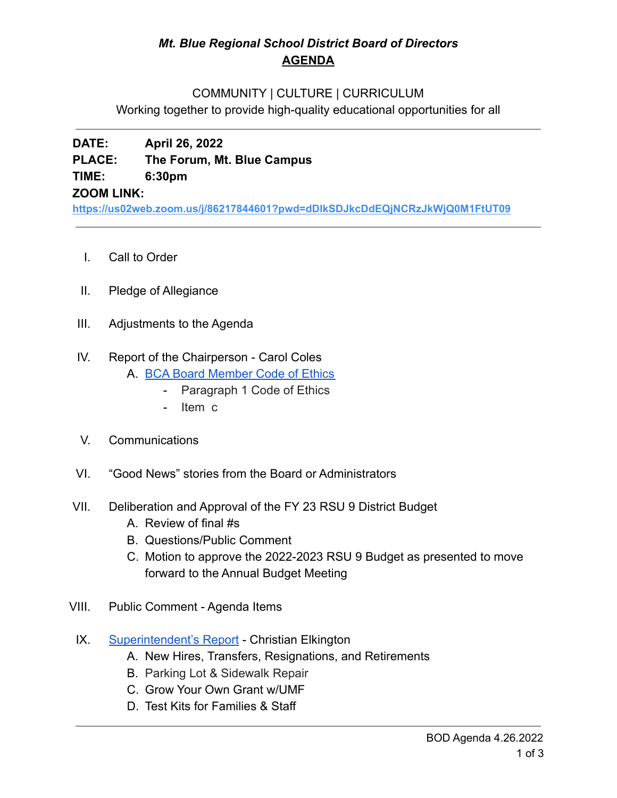# *Mt. Blue Regional School District Board of Directors* **AGENDA**

### COMMUNITY | CULTURE | CURRICULUM

Working together to provide high-quality educational opportunities for all

## **DATE: April 26, 2022 PLACE: The Forum, Mt. Blue Campus TIME: 6:30pm ZOOM LINK:**

**<https://us02web.zoom.us/j/86217844601?pwd=dDlkSDJkcDdEQjNCRzJkWjQ0M1FtUT09>**

- I. Call to Order
- II. Pledge of Allegiance
- III. Adjustments to the Agenda

### IV. Report of the Chairperson - Carol Coles

- A. [BCA Board Member Code of Ethics](https://cdn.branchcms.com/yeQ4XpK43n-1155/docs/district/board-of-directors/policy-manual/section-b/BCA-Board-Member-Code-of-Ethics.pdf)
	- Paragraph 1 Code of Ethics
		- Item c
- V. Communications
- VI. "Good News" stories from the Board or Administrators
- VII. Deliberation and Approval of the FY 23 RSU 9 District Budget
	- A. Review of final #s
	- B. Questions/Public Comment
	- C. Motion to approve the 2022-2023 RSU 9 Budget as presented to move forward to the Annual Budget Meeting
- VIII. Public Comment Agenda Items
- IX. [Superintendent's Report](https://drive.google.com/file/d/1UFm__YT5alNFwjedugi1FraYJK_mg0Iq/view?usp=sharingb1AWd5KN8ybYnm_-WP8crXaQTU/edit?usp=sharing) Christian Elkington
	- A. New Hires, Transfers, Resignations, and Retirements
	- B. Parking Lot & Sidewalk Repair
	- C. Grow Your Own Grant w/UMF
	- D. Test Kits for Families & Staff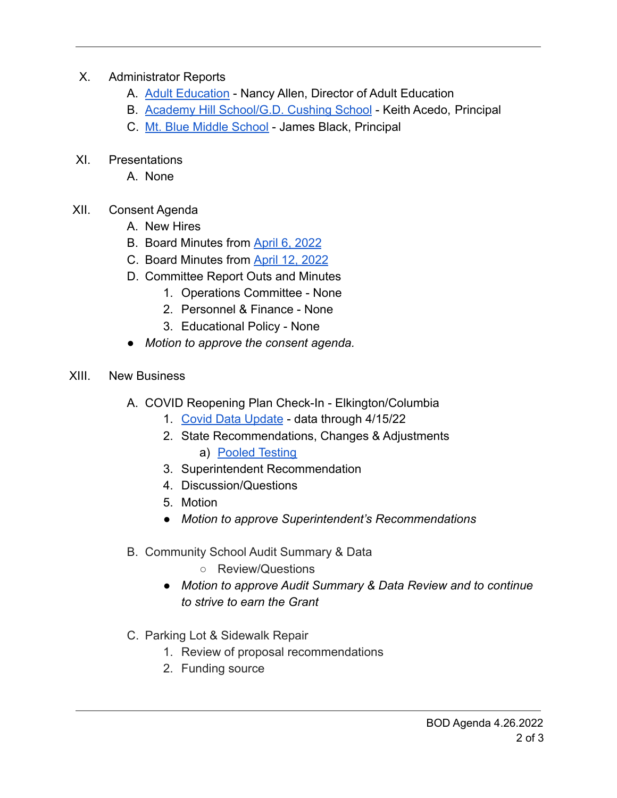## X. Administrator Reports

- A. [Adult Education](https://drive.google.com/file/d/1nC2wr5yUbYUpFQ1DNUZpF6kT63O1tu5P/view?usp=sharing) Nancy Allen, Director of Adult Education
- B. [Academy Hill School/G.D. Cushing School](https://drive.google.com/file/d/1RSDFqxwY8ZONDGEz3yncbBvLnyYfIdzy/view?usp=sharing) Keith Acedo, Principal
- C. [Mt. Blue Middle School](https://drive.google.com/file/d/1TdZWYf7_yXgkVukKiAzNTOtMqxApdkrK/view?usp=sharing) James Black, Principal
- XI. Presentations
	- A. None
- XII. Consent Agenda
	- A. New Hires
	- B. Board Minutes from [April 6, 2022](https://drive.google.com/file/d/1RHKLQvmKG2FEIn7d7jYQdkUk8dA4vp_q/view?usp=sharing)
	- C. Board Minutes from [April 12, 2022](https://drive.google.com/file/d/1WyhP1vqDf6w5MfyyLpkF6sbpF2xghHbM/view?usp=sharing)
	- D. Committee Report Outs and Minutes
		- 1. Operations Committee None
		- 2. Personnel & Finance None
		- 3. Educational Policy None
	- *Motion to approve the consent agenda.*
- XIII. New Business
	- A. COVID Reopening Plan Check-In Elkington/Columbia
		- 1. [Covid Data Update](https://drive.google.com/file/d/15CTiPCpWMwkhqsJBGQVqSdSikKm3sFE2/view?usp=sharingDvFIps4rEKJrD1erNolW18/edit?usp=sharing) data through 4/15/22
		- 2. State Recommendations, Changes & Adjustments a) [Pooled Testing](https://drive.google.com/file/d/1EY9RmgfYrm4TehYGq2dxSMXmudb7nND3/view?usp=sharing)
		- 3. Superintendent Recommendation
		- 4. Discussion/Questions
		- 5. Motion
		- *● Motion to approve Superintendent's Recommendations*
	- B. Community School Audit Summary & Data
		- Review/Questions
		- *● Motion to approve Audit Summary & Data Review and to continue to strive to earn the Grant*
	- C. Parking Lot & Sidewalk Repair
		- 1. Review of proposal recommendations
		- 2. Funding source